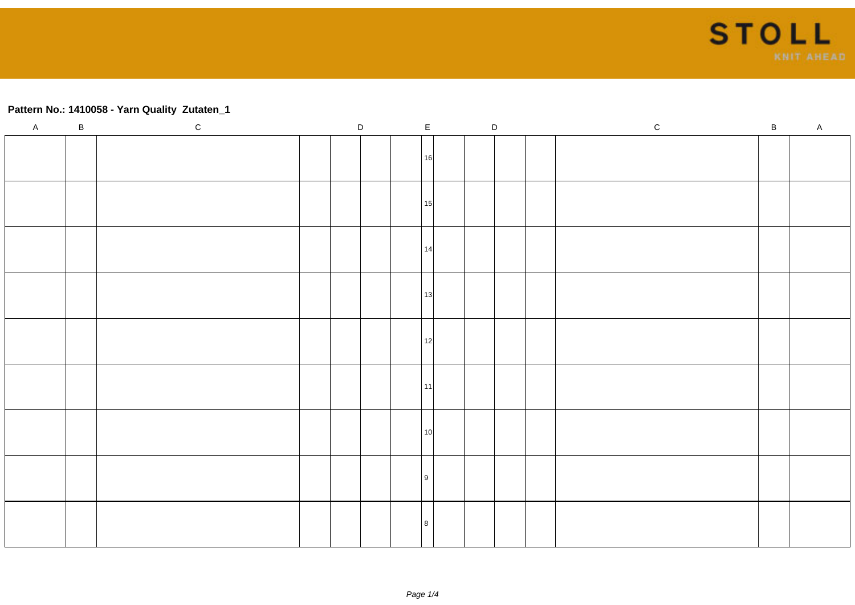

## **Pattern No.: 1410058 - Yarn Quality Zutaten\_1**

| $\overline{A}$ | $\, {\bf B}$ | $\mathtt{C}$ | $\mathsf D$ |  | $\mathsf{E}% _{\mathsf{H}}$ | $\mathsf D$ | ${\rm c}$ | $\, {\bf B} \,$ | $\mathsf{A}$ |
|----------------|--------------|--------------|-------------|--|-----------------------------|-------------|-----------|-----------------|--------------|
|                |              |              |             |  | 16                          |             |           |                 |              |
|                |              |              |             |  | 15                          |             |           |                 |              |
|                |              |              |             |  | l 14l                       |             |           |                 |              |
|                |              |              |             |  | 13                          |             |           |                 |              |
|                |              |              |             |  | 12                          |             |           |                 |              |
|                |              |              |             |  | l 11l                       |             |           |                 |              |
|                |              |              |             |  | l 10l                       |             |           |                 |              |
|                |              |              |             |  | l 9                         |             |           |                 |              |
|                |              |              |             |  |                             |             |           |                 |              |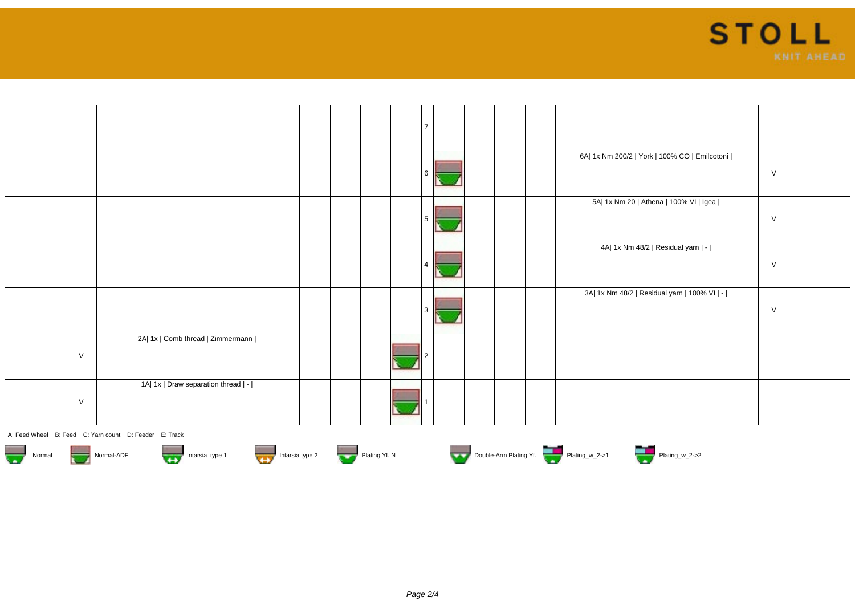

|        |                                     |  |  | $\overline{ }$ |  |  |                                               |        |  |
|--------|-------------------------------------|--|--|----------------|--|--|-----------------------------------------------|--------|--|
|        |                                     |  |  |                |  |  | 6A  1x Nm 200/2   York   100% CO   Emilcotoni | $\vee$ |  |
|        |                                     |  |  |                |  |  | 5A  1x Nm 20   Athena   100% VI   Igea        | V      |  |
|        |                                     |  |  |                |  |  | 4A  1x Nm 48/2   Residual yarn   -            | $\vee$ |  |
|        |                                     |  |  |                |  |  | 3A  1x Nm 48/2   Residual yarn   100% VI   -  | $\vee$ |  |
| $\vee$ | 2A  1x   Comb thread   Zimmermann   |  |  |                |  |  |                                               |        |  |
| $\vee$ | 1A  1x   Draw separation thread   - |  |  |                |  |  |                                               |        |  |

A: Feed Wheel B: Feed C: Yarn count D: Feeder E: Track









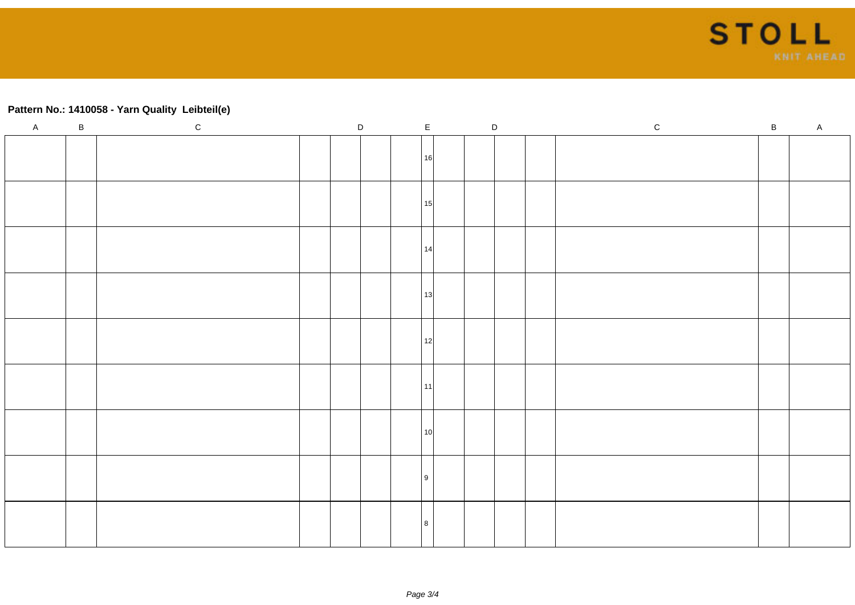

## **Pattern No.: 1410058 - Yarn Quality Leibteil(e)**

| $\mathsf{A}$ | $\, {\bf B}$ | $\mathtt{C}$ | $\mathsf D$ | $\mathsf E$     | $\mathsf D$ | $\,$ C | $\, {\bf B} \,$ | A |
|--------------|--------------|--------------|-------------|-----------------|-------------|--------|-----------------|---|
|              |              |              |             | 16              |             |        |                 |   |
|              |              |              |             | 15              |             |        |                 |   |
|              |              |              |             | 14              |             |        |                 |   |
|              |              |              |             | 13              |             |        |                 |   |
|              |              |              |             | 12              |             |        |                 |   |
|              |              |              |             | l 11 l          |             |        |                 |   |
|              |              |              |             | 10 <sup>1</sup> |             |        |                 |   |
|              |              |              |             | l 9             |             |        |                 |   |
|              |              |              |             | l R             |             |        |                 |   |